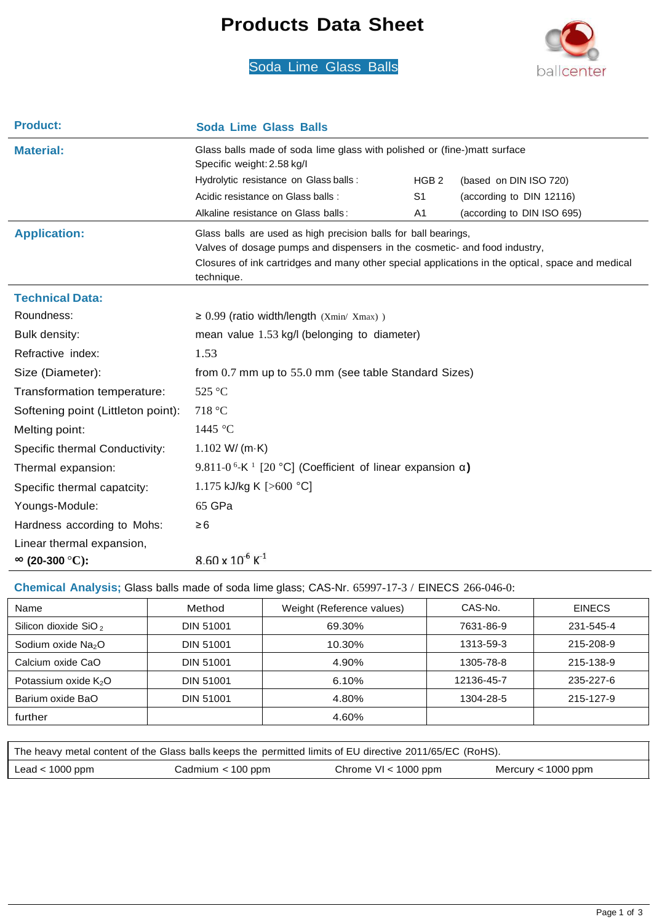# **Products Data Sheet**





| <b>Product:</b>                    | <b>Soda Lime Glass Balls</b>                                                                                                                 |                  |                            |  |
|------------------------------------|----------------------------------------------------------------------------------------------------------------------------------------------|------------------|----------------------------|--|
| <b>Material:</b>                   | Glass balls made of soda lime glass with polished or (fine-)matt surface<br>Specific weight: 2.58 kg/l                                       |                  |                            |  |
|                                    | Hydrolytic resistance on Glass balls :                                                                                                       | HGB <sub>2</sub> | (based on DIN ISO 720)     |  |
|                                    | Acidic resistance on Glass balls :                                                                                                           | S <sub>1</sub>   | (according to DIN 12116)   |  |
|                                    | Alkaline resistance on Glass balls:                                                                                                          | A1               | (according to DIN ISO 695) |  |
| <b>Application:</b>                | Glass balls are used as high precision balls for ball bearings,<br>Valves of dosage pumps and dispensers in the cosmetic- and food industry, |                  |                            |  |
|                                    | Closures of ink cartridges and many other special applications in the optical, space and medical<br>technique.                               |                  |                            |  |
| <b>Technical Data:</b>             |                                                                                                                                              |                  |                            |  |
| Roundness:                         | $\geq$ 0.99 (ratio width/length (Xmin/ Xmax))                                                                                                |                  |                            |  |
| Bulk density:                      | mean value 1.53 kg/l (belonging to diameter)                                                                                                 |                  |                            |  |
| Refractive index:                  | 1.53                                                                                                                                         |                  |                            |  |
| Size (Diameter):                   | from 0.7 mm up to 55.0 mm (see table Standard Sizes)                                                                                         |                  |                            |  |
| Transformation temperature:        | 525 °C                                                                                                                                       |                  |                            |  |
| Softening point (Littleton point): | 718 °C                                                                                                                                       |                  |                            |  |
| Melting point:                     | 1445 $\degree$ C                                                                                                                             |                  |                            |  |
| Specific thermal Conductivity:     | $1.102$ W/ (m $-K$ )                                                                                                                         |                  |                            |  |
| Thermal expansion:                 | 9.811-0 <sup>6</sup> -K <sup>1</sup> [20 °C] (Coefficient of linear expansion $\alpha$ )                                                     |                  |                            |  |
| Specific thermal capatcity:        | 1.175 kJ/kg K [ $>600$ °C]                                                                                                                   |                  |                            |  |
| Youngs-Module:                     | 65 GPa                                                                                                                                       |                  |                            |  |
| Hardness according to Mohs:        | $\geq 6$                                                                                                                                     |                  |                            |  |
| Linear thermal expansion,          |                                                                                                                                              |                  |                            |  |
| $\infty$ (20-300 °C):              | $8.60 \times 10^{-6}$ K <sup>-1</sup>                                                                                                        |                  |                            |  |

#### **Chemical Analysis;** Glass balls made of soda lime glass; CAS-Nr. 65997-17-3 / EINECS 266-046-0:

| Name                             | Method           | Weight (Reference values) | CAS-No.    | <b>EINECS</b> |
|----------------------------------|------------------|---------------------------|------------|---------------|
| Silicon dioxide SiO <sub>2</sub> | DIN 51001        | 69.30%                    | 7631-86-9  | 231-545-4     |
| Sodium oxide Na <sub>2</sub> O   | DIN 51001        | 10.30%                    | 1313-59-3  | 215-208-9     |
| Calcium oxide CaO                | <b>DIN 51001</b> | 4.90%                     | 1305-78-8  | 215-138-9     |
| Potassium oxide $K_2O$           | <b>DIN 51001</b> | 6.10%                     | 12136-45-7 | 235-227-6     |
| Barium oxide BaO                 | <b>DIN 51001</b> | 4.80%                     | 1304-28-5  | 215-127-9     |
| further                          |                  | 4.60%                     |            |               |

| The heavy metal content of the Glass balls keeps the permitted limits of EU directive 2011/65/EC (RoHS). |                     |                        |                    |  |
|----------------------------------------------------------------------------------------------------------|---------------------|------------------------|--------------------|--|
| Lead $< 1000$ ppm                                                                                        | Cadmium $<$ 100 ppm | Chrome $VI < 1000$ ppm | Mercury < 1000 ppm |  |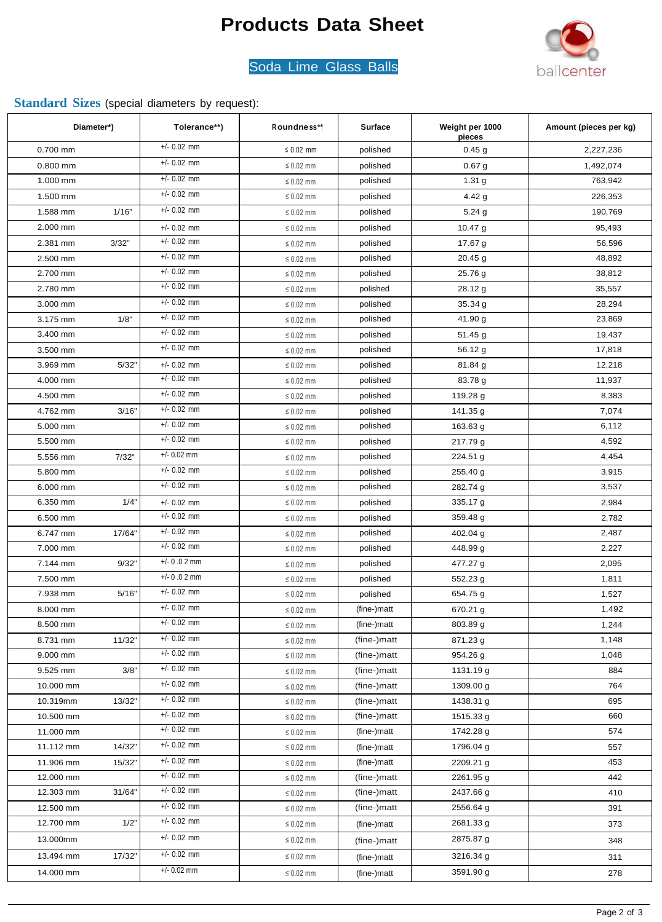# **Products Data Sheet**



### Soda Lime Glass Balls

### **Standard Sizes** (special diameters by request):

| $+/- 0.02$ mm<br>0.700 mm<br>$\leq 0.02$ mm<br>0.45g<br>2,227,236<br>polished<br>$+/- 0.02$ mm<br>$\leq 0.02$ mm<br>$0.800$ mm<br>polished<br>0.67 <sub>g</sub><br>1,492,074<br>$+/- 0.02$ mm<br>1.000 mm<br>763,942<br>polished<br>1.31 <sub>g</sub><br>$\leq 0.02$ mm<br>$+/- 0.02$ mm<br>$\leq 0.02$ mm<br>1.500 mm<br>4.42 $g$<br>polished<br>226,353<br>$+/- 0.02$ mm<br>1/16"<br>1.588 mm<br>$\leq 0.02$ mm<br>190,769<br>polished<br>5.24 g<br>$+/- 0.02$ mm<br>2.000 mm<br>$\leq 0.02$ mm<br>$10.47$ g<br>95,493<br>polished<br>$+/- 0.02$ mm<br>2.381 mm<br>3/32"<br>polished<br>17.67 g<br>56,596<br>$\leq 0.02$ mm<br>$+/- 0.02$ mm<br>48,892<br>2.500 mm<br>polished<br>$20.45$ g<br>$\leq 0.02$ mm<br>$+/- 0.02$ mm<br>38,812<br>2.700 mm<br>polished<br>25.76 g<br>$\leq 0.02$ mm<br>$+/- 0.02$ mm<br>35,557<br>2.780 mm<br>28.12 g<br>$\leq 0.02$ mm<br>polished<br>$+/- 0.02$ mm<br>28,294<br>3.000 mm<br>35.34 g<br>$\leq 0.02$ mm<br>polished<br>$+/- 0.02$ mm<br>23,869<br>3.175 mm<br>1/8"<br>polished<br>41.90 g<br>$\leq 0.02$ mm<br>$+/- 0.02$ mm<br>3.400 mm<br>19,437<br>$\leq 0.02$ mm<br>polished<br>51.45 g<br>$+/- 0.02$ mm<br>3.500 mm<br>polished<br>56.12 g<br>17,818<br>$\leq 0.02$ mm<br>5/32"<br>$+/- 0.02$ mm<br>12,218<br>3.969 mm<br>$\leq 0.02$ mm<br>81.84 g<br>polished<br>$+/- 0.02$ mm<br>11,937<br>4.000 mm<br>83.78 g<br>$\leq 0.02$ mm<br>polished<br>$+/- 0.02$ mm<br>8,383<br>polished<br>119.28 g<br>4.500 mm<br>$\leq 0.02$ mm<br>$+/- 0.02$ mm<br>4.762 mm<br>3/16"<br>141.35 g<br>7,074<br>$\leq 0.02$ mm<br>polished<br>$+/- 0.02$ mm<br>6,112<br>5.000 mm<br>polished<br>163.63 g<br>$\leq 0.02$ mm<br>$+/- 0.02$ mm<br>4,592<br>5.500 mm<br>polished<br>217.79 g<br>$\leq 0.02$ mm<br>$+/- 0.02$ mm<br>4,454<br>5.556 mm<br>7/32"<br>224.51 g<br>$\leq 0.02$ mm<br>polished<br>$+/- 0.02$ mm<br>3,915<br>polished<br>255.40 g<br>5.800 mm<br>$\leq 0.02$ mm<br>$+/- 0.02$ mm<br>3,537<br>6.000 mm<br>polished<br>$\leq 0.02$ mm<br>282.74 g<br>1/4"<br>6.350 mm<br>$+/- 0.02$ mm<br>335.17 g<br>2,984<br>$\leq 0.02$ mm<br>polished<br>$+/- 0.02$ mm<br>6.500 mm<br>359.48 g<br>2,782<br>$\leq 0.02$ mm<br>polished<br>$+/- 0.02$ mm<br>2,487<br>6.747 mm<br>17/64"<br>$\leq 0.02$ mm<br>polished<br>402.04 g<br>$+/- 0.02$ mm<br>7.000 mm<br>448.99 g<br>2,227<br>$\leq 0.02$ mm<br>polished<br>$+/- 0.02$ mm<br>2,095<br>7.144 mm<br>9/32"<br>polished<br>477.27 g<br>$\leq 0.02$ mm<br>$+/- 0.02$ mm<br>1,811<br>polished<br>552.23 g<br>7.500 mm<br>$\leq 0.02$ mm<br>$+/- 0.02$ mm<br>5/16"<br>654.75 g<br>7.938 mm<br>$\leq 0.02$ mm<br>1,527<br>polished<br>$+/- 0.02$ mm<br>1,492<br>8.000 mm<br>$\leq 0.02$ mm<br>(fine-)matt<br>670.21 g<br>$+/- 0.02$ mm<br>803.89 g<br>1,244<br>8.500 mm<br>$\leq 0.02$ mm<br>(fine-)matt<br>$+/- 0.02$ mm<br>871.23 g<br>1,148<br>8.731 mm<br>11/32"<br>(fine-)matt<br>$\leq 0.02$ mm<br>$+/- 0.02$ mm<br>1,048<br>9.000 mm<br>(fine-)matt<br>954.26 g<br>$\leq 0.02$ mm<br>$+/- 0.02$ mm<br>3/8"<br>884<br>9.525 mm<br>(fine-)matt<br>1131.19 g<br>$\leq 0.02$ mm<br>$+/- 0.02$ mm<br>(fine-)matt<br>764<br>10.000 mm<br>$\leq 0.02$ mm<br>1309.00 g<br>$+/- 0.02$ mm<br>13/32"<br>695<br>10.319mm<br>(fine-)matt<br>1438.31 g<br>$\leq 0.02$ mm<br>$+/- 0.02$ mm<br>660<br>10.500 mm<br>(fine-)matt<br>1515.33 g<br>$\leq 0.02$ mm<br>$+/- 0.02$ mm<br>574<br>11.000 mm<br>(fine-)matt<br>1742.28 g<br>$\leq 0.02$ mm<br>$+/- 0.02$ mm<br>14/32"<br>1796.04 g<br>11.112 mm<br>$\leq 0.02$ mm<br>(fine-)matt<br>557<br>$+/- 0.02$ mm<br>11.906 mm<br>(fine-)matt<br>453<br>15/32"<br>2209.21 g<br>$\leq 0.02$ mm<br>$+/- 0.02$ mm<br>442<br>12.000 mm<br>(fine-)matt<br>2261.95 g<br>$\leq 0.02$ mm<br>$+/- 0.02$ mm<br>2437.66 g<br>12.303 mm<br>31/64"<br>$\leq 0.02$ mm<br>410<br>(fine-)matt<br>$+/- 0.02$ mm<br>2556.64 g<br>12.500 mm<br>$\leq 0.02$ mm<br>(fine-)matt<br>391<br>$+/- 0.02$ mm<br>1/2"<br>2681.33 g<br>12.700 mm<br>$\leq 0.02$ mm<br>373<br>(fine-)matt<br>$+/- 0.02$ mm<br>13.000mm<br>2875.87 g<br>$\leq 0.02$ mm<br>348<br>(fine-)matt<br>$+/- 0.02$ mm<br>3216.34 g<br>13.494 mm<br>17/32"<br>$\leq 0.02$ mm<br>311<br>(fine-)matt<br>$+/- 0.02$ mm<br>14.000 mm<br>3591.90 g<br>$\leq 0.02$ mm<br>(fine-)matt<br>278 | Diameter*) | Tolerance**) | Roundness** | <b>Surface</b> | Weight per 1000<br>pieces | Amount (pieces per kg) |
|-------------------------------------------------------------------------------------------------------------------------------------------------------------------------------------------------------------------------------------------------------------------------------------------------------------------------------------------------------------------------------------------------------------------------------------------------------------------------------------------------------------------------------------------------------------------------------------------------------------------------------------------------------------------------------------------------------------------------------------------------------------------------------------------------------------------------------------------------------------------------------------------------------------------------------------------------------------------------------------------------------------------------------------------------------------------------------------------------------------------------------------------------------------------------------------------------------------------------------------------------------------------------------------------------------------------------------------------------------------------------------------------------------------------------------------------------------------------------------------------------------------------------------------------------------------------------------------------------------------------------------------------------------------------------------------------------------------------------------------------------------------------------------------------------------------------------------------------------------------------------------------------------------------------------------------------------------------------------------------------------------------------------------------------------------------------------------------------------------------------------------------------------------------------------------------------------------------------------------------------------------------------------------------------------------------------------------------------------------------------------------------------------------------------------------------------------------------------------------------------------------------------------------------------------------------------------------------------------------------------------------------------------------------------------------------------------------------------------------------------------------------------------------------------------------------------------------------------------------------------------------------------------------------------------------------------------------------------------------------------------------------------------------------------------------------------------------------------------------------------------------------------------------------------------------------------------------------------------------------------------------------------------------------------------------------------------------------------------------------------------------------------------------------------------------------------------------------------------------------------------------------------------------------------------------------------------------------------------------------------------------------------------------------------------------------------------------------------------------------------------------------------------------------------------------------------------------------------------------------------------------------------------------------------------------------------------------------------------------------------------------------------------------------------------------------------------------------------------------------------------------------------------------------------------------------------------------------------------------------------------------|------------|--------------|-------------|----------------|---------------------------|------------------------|
|                                                                                                                                                                                                                                                                                                                                                                                                                                                                                                                                                                                                                                                                                                                                                                                                                                                                                                                                                                                                                                                                                                                                                                                                                                                                                                                                                                                                                                                                                                                                                                                                                                                                                                                                                                                                                                                                                                                                                                                                                                                                                                                                                                                                                                                                                                                                                                                                                                                                                                                                                                                                                                                                                                                                                                                                                                                                                                                                                                                                                                                                                                                                                                                                                                                                                                                                                                                                                                                                                                                                                                                                                                                                                                                                                                                                                                                                                                                                                                                                                                                                                                                                                                                                                                                       |            |              |             |                |                           |                        |
|                                                                                                                                                                                                                                                                                                                                                                                                                                                                                                                                                                                                                                                                                                                                                                                                                                                                                                                                                                                                                                                                                                                                                                                                                                                                                                                                                                                                                                                                                                                                                                                                                                                                                                                                                                                                                                                                                                                                                                                                                                                                                                                                                                                                                                                                                                                                                                                                                                                                                                                                                                                                                                                                                                                                                                                                                                                                                                                                                                                                                                                                                                                                                                                                                                                                                                                                                                                                                                                                                                                                                                                                                                                                                                                                                                                                                                                                                                                                                                                                                                                                                                                                                                                                                                                       |            |              |             |                |                           |                        |
|                                                                                                                                                                                                                                                                                                                                                                                                                                                                                                                                                                                                                                                                                                                                                                                                                                                                                                                                                                                                                                                                                                                                                                                                                                                                                                                                                                                                                                                                                                                                                                                                                                                                                                                                                                                                                                                                                                                                                                                                                                                                                                                                                                                                                                                                                                                                                                                                                                                                                                                                                                                                                                                                                                                                                                                                                                                                                                                                                                                                                                                                                                                                                                                                                                                                                                                                                                                                                                                                                                                                                                                                                                                                                                                                                                                                                                                                                                                                                                                                                                                                                                                                                                                                                                                       |            |              |             |                |                           |                        |
|                                                                                                                                                                                                                                                                                                                                                                                                                                                                                                                                                                                                                                                                                                                                                                                                                                                                                                                                                                                                                                                                                                                                                                                                                                                                                                                                                                                                                                                                                                                                                                                                                                                                                                                                                                                                                                                                                                                                                                                                                                                                                                                                                                                                                                                                                                                                                                                                                                                                                                                                                                                                                                                                                                                                                                                                                                                                                                                                                                                                                                                                                                                                                                                                                                                                                                                                                                                                                                                                                                                                                                                                                                                                                                                                                                                                                                                                                                                                                                                                                                                                                                                                                                                                                                                       |            |              |             |                |                           |                        |
|                                                                                                                                                                                                                                                                                                                                                                                                                                                                                                                                                                                                                                                                                                                                                                                                                                                                                                                                                                                                                                                                                                                                                                                                                                                                                                                                                                                                                                                                                                                                                                                                                                                                                                                                                                                                                                                                                                                                                                                                                                                                                                                                                                                                                                                                                                                                                                                                                                                                                                                                                                                                                                                                                                                                                                                                                                                                                                                                                                                                                                                                                                                                                                                                                                                                                                                                                                                                                                                                                                                                                                                                                                                                                                                                                                                                                                                                                                                                                                                                                                                                                                                                                                                                                                                       |            |              |             |                |                           |                        |
|                                                                                                                                                                                                                                                                                                                                                                                                                                                                                                                                                                                                                                                                                                                                                                                                                                                                                                                                                                                                                                                                                                                                                                                                                                                                                                                                                                                                                                                                                                                                                                                                                                                                                                                                                                                                                                                                                                                                                                                                                                                                                                                                                                                                                                                                                                                                                                                                                                                                                                                                                                                                                                                                                                                                                                                                                                                                                                                                                                                                                                                                                                                                                                                                                                                                                                                                                                                                                                                                                                                                                                                                                                                                                                                                                                                                                                                                                                                                                                                                                                                                                                                                                                                                                                                       |            |              |             |                |                           |                        |
|                                                                                                                                                                                                                                                                                                                                                                                                                                                                                                                                                                                                                                                                                                                                                                                                                                                                                                                                                                                                                                                                                                                                                                                                                                                                                                                                                                                                                                                                                                                                                                                                                                                                                                                                                                                                                                                                                                                                                                                                                                                                                                                                                                                                                                                                                                                                                                                                                                                                                                                                                                                                                                                                                                                                                                                                                                                                                                                                                                                                                                                                                                                                                                                                                                                                                                                                                                                                                                                                                                                                                                                                                                                                                                                                                                                                                                                                                                                                                                                                                                                                                                                                                                                                                                                       |            |              |             |                |                           |                        |
|                                                                                                                                                                                                                                                                                                                                                                                                                                                                                                                                                                                                                                                                                                                                                                                                                                                                                                                                                                                                                                                                                                                                                                                                                                                                                                                                                                                                                                                                                                                                                                                                                                                                                                                                                                                                                                                                                                                                                                                                                                                                                                                                                                                                                                                                                                                                                                                                                                                                                                                                                                                                                                                                                                                                                                                                                                                                                                                                                                                                                                                                                                                                                                                                                                                                                                                                                                                                                                                                                                                                                                                                                                                                                                                                                                                                                                                                                                                                                                                                                                                                                                                                                                                                                                                       |            |              |             |                |                           |                        |
|                                                                                                                                                                                                                                                                                                                                                                                                                                                                                                                                                                                                                                                                                                                                                                                                                                                                                                                                                                                                                                                                                                                                                                                                                                                                                                                                                                                                                                                                                                                                                                                                                                                                                                                                                                                                                                                                                                                                                                                                                                                                                                                                                                                                                                                                                                                                                                                                                                                                                                                                                                                                                                                                                                                                                                                                                                                                                                                                                                                                                                                                                                                                                                                                                                                                                                                                                                                                                                                                                                                                                                                                                                                                                                                                                                                                                                                                                                                                                                                                                                                                                                                                                                                                                                                       |            |              |             |                |                           |                        |
|                                                                                                                                                                                                                                                                                                                                                                                                                                                                                                                                                                                                                                                                                                                                                                                                                                                                                                                                                                                                                                                                                                                                                                                                                                                                                                                                                                                                                                                                                                                                                                                                                                                                                                                                                                                                                                                                                                                                                                                                                                                                                                                                                                                                                                                                                                                                                                                                                                                                                                                                                                                                                                                                                                                                                                                                                                                                                                                                                                                                                                                                                                                                                                                                                                                                                                                                                                                                                                                                                                                                                                                                                                                                                                                                                                                                                                                                                                                                                                                                                                                                                                                                                                                                                                                       |            |              |             |                |                           |                        |
|                                                                                                                                                                                                                                                                                                                                                                                                                                                                                                                                                                                                                                                                                                                                                                                                                                                                                                                                                                                                                                                                                                                                                                                                                                                                                                                                                                                                                                                                                                                                                                                                                                                                                                                                                                                                                                                                                                                                                                                                                                                                                                                                                                                                                                                                                                                                                                                                                                                                                                                                                                                                                                                                                                                                                                                                                                                                                                                                                                                                                                                                                                                                                                                                                                                                                                                                                                                                                                                                                                                                                                                                                                                                                                                                                                                                                                                                                                                                                                                                                                                                                                                                                                                                                                                       |            |              |             |                |                           |                        |
|                                                                                                                                                                                                                                                                                                                                                                                                                                                                                                                                                                                                                                                                                                                                                                                                                                                                                                                                                                                                                                                                                                                                                                                                                                                                                                                                                                                                                                                                                                                                                                                                                                                                                                                                                                                                                                                                                                                                                                                                                                                                                                                                                                                                                                                                                                                                                                                                                                                                                                                                                                                                                                                                                                                                                                                                                                                                                                                                                                                                                                                                                                                                                                                                                                                                                                                                                                                                                                                                                                                                                                                                                                                                                                                                                                                                                                                                                                                                                                                                                                                                                                                                                                                                                                                       |            |              |             |                |                           |                        |
|                                                                                                                                                                                                                                                                                                                                                                                                                                                                                                                                                                                                                                                                                                                                                                                                                                                                                                                                                                                                                                                                                                                                                                                                                                                                                                                                                                                                                                                                                                                                                                                                                                                                                                                                                                                                                                                                                                                                                                                                                                                                                                                                                                                                                                                                                                                                                                                                                                                                                                                                                                                                                                                                                                                                                                                                                                                                                                                                                                                                                                                                                                                                                                                                                                                                                                                                                                                                                                                                                                                                                                                                                                                                                                                                                                                                                                                                                                                                                                                                                                                                                                                                                                                                                                                       |            |              |             |                |                           |                        |
|                                                                                                                                                                                                                                                                                                                                                                                                                                                                                                                                                                                                                                                                                                                                                                                                                                                                                                                                                                                                                                                                                                                                                                                                                                                                                                                                                                                                                                                                                                                                                                                                                                                                                                                                                                                                                                                                                                                                                                                                                                                                                                                                                                                                                                                                                                                                                                                                                                                                                                                                                                                                                                                                                                                                                                                                                                                                                                                                                                                                                                                                                                                                                                                                                                                                                                                                                                                                                                                                                                                                                                                                                                                                                                                                                                                                                                                                                                                                                                                                                                                                                                                                                                                                                                                       |            |              |             |                |                           |                        |
|                                                                                                                                                                                                                                                                                                                                                                                                                                                                                                                                                                                                                                                                                                                                                                                                                                                                                                                                                                                                                                                                                                                                                                                                                                                                                                                                                                                                                                                                                                                                                                                                                                                                                                                                                                                                                                                                                                                                                                                                                                                                                                                                                                                                                                                                                                                                                                                                                                                                                                                                                                                                                                                                                                                                                                                                                                                                                                                                                                                                                                                                                                                                                                                                                                                                                                                                                                                                                                                                                                                                                                                                                                                                                                                                                                                                                                                                                                                                                                                                                                                                                                                                                                                                                                                       |            |              |             |                |                           |                        |
|                                                                                                                                                                                                                                                                                                                                                                                                                                                                                                                                                                                                                                                                                                                                                                                                                                                                                                                                                                                                                                                                                                                                                                                                                                                                                                                                                                                                                                                                                                                                                                                                                                                                                                                                                                                                                                                                                                                                                                                                                                                                                                                                                                                                                                                                                                                                                                                                                                                                                                                                                                                                                                                                                                                                                                                                                                                                                                                                                                                                                                                                                                                                                                                                                                                                                                                                                                                                                                                                                                                                                                                                                                                                                                                                                                                                                                                                                                                                                                                                                                                                                                                                                                                                                                                       |            |              |             |                |                           |                        |
|                                                                                                                                                                                                                                                                                                                                                                                                                                                                                                                                                                                                                                                                                                                                                                                                                                                                                                                                                                                                                                                                                                                                                                                                                                                                                                                                                                                                                                                                                                                                                                                                                                                                                                                                                                                                                                                                                                                                                                                                                                                                                                                                                                                                                                                                                                                                                                                                                                                                                                                                                                                                                                                                                                                                                                                                                                                                                                                                                                                                                                                                                                                                                                                                                                                                                                                                                                                                                                                                                                                                                                                                                                                                                                                                                                                                                                                                                                                                                                                                                                                                                                                                                                                                                                                       |            |              |             |                |                           |                        |
|                                                                                                                                                                                                                                                                                                                                                                                                                                                                                                                                                                                                                                                                                                                                                                                                                                                                                                                                                                                                                                                                                                                                                                                                                                                                                                                                                                                                                                                                                                                                                                                                                                                                                                                                                                                                                                                                                                                                                                                                                                                                                                                                                                                                                                                                                                                                                                                                                                                                                                                                                                                                                                                                                                                                                                                                                                                                                                                                                                                                                                                                                                                                                                                                                                                                                                                                                                                                                                                                                                                                                                                                                                                                                                                                                                                                                                                                                                                                                                                                                                                                                                                                                                                                                                                       |            |              |             |                |                           |                        |
|                                                                                                                                                                                                                                                                                                                                                                                                                                                                                                                                                                                                                                                                                                                                                                                                                                                                                                                                                                                                                                                                                                                                                                                                                                                                                                                                                                                                                                                                                                                                                                                                                                                                                                                                                                                                                                                                                                                                                                                                                                                                                                                                                                                                                                                                                                                                                                                                                                                                                                                                                                                                                                                                                                                                                                                                                                                                                                                                                                                                                                                                                                                                                                                                                                                                                                                                                                                                                                                                                                                                                                                                                                                                                                                                                                                                                                                                                                                                                                                                                                                                                                                                                                                                                                                       |            |              |             |                |                           |                        |
|                                                                                                                                                                                                                                                                                                                                                                                                                                                                                                                                                                                                                                                                                                                                                                                                                                                                                                                                                                                                                                                                                                                                                                                                                                                                                                                                                                                                                                                                                                                                                                                                                                                                                                                                                                                                                                                                                                                                                                                                                                                                                                                                                                                                                                                                                                                                                                                                                                                                                                                                                                                                                                                                                                                                                                                                                                                                                                                                                                                                                                                                                                                                                                                                                                                                                                                                                                                                                                                                                                                                                                                                                                                                                                                                                                                                                                                                                                                                                                                                                                                                                                                                                                                                                                                       |            |              |             |                |                           |                        |
|                                                                                                                                                                                                                                                                                                                                                                                                                                                                                                                                                                                                                                                                                                                                                                                                                                                                                                                                                                                                                                                                                                                                                                                                                                                                                                                                                                                                                                                                                                                                                                                                                                                                                                                                                                                                                                                                                                                                                                                                                                                                                                                                                                                                                                                                                                                                                                                                                                                                                                                                                                                                                                                                                                                                                                                                                                                                                                                                                                                                                                                                                                                                                                                                                                                                                                                                                                                                                                                                                                                                                                                                                                                                                                                                                                                                                                                                                                                                                                                                                                                                                                                                                                                                                                                       |            |              |             |                |                           |                        |
|                                                                                                                                                                                                                                                                                                                                                                                                                                                                                                                                                                                                                                                                                                                                                                                                                                                                                                                                                                                                                                                                                                                                                                                                                                                                                                                                                                                                                                                                                                                                                                                                                                                                                                                                                                                                                                                                                                                                                                                                                                                                                                                                                                                                                                                                                                                                                                                                                                                                                                                                                                                                                                                                                                                                                                                                                                                                                                                                                                                                                                                                                                                                                                                                                                                                                                                                                                                                                                                                                                                                                                                                                                                                                                                                                                                                                                                                                                                                                                                                                                                                                                                                                                                                                                                       |            |              |             |                |                           |                        |
|                                                                                                                                                                                                                                                                                                                                                                                                                                                                                                                                                                                                                                                                                                                                                                                                                                                                                                                                                                                                                                                                                                                                                                                                                                                                                                                                                                                                                                                                                                                                                                                                                                                                                                                                                                                                                                                                                                                                                                                                                                                                                                                                                                                                                                                                                                                                                                                                                                                                                                                                                                                                                                                                                                                                                                                                                                                                                                                                                                                                                                                                                                                                                                                                                                                                                                                                                                                                                                                                                                                                                                                                                                                                                                                                                                                                                                                                                                                                                                                                                                                                                                                                                                                                                                                       |            |              |             |                |                           |                        |
|                                                                                                                                                                                                                                                                                                                                                                                                                                                                                                                                                                                                                                                                                                                                                                                                                                                                                                                                                                                                                                                                                                                                                                                                                                                                                                                                                                                                                                                                                                                                                                                                                                                                                                                                                                                                                                                                                                                                                                                                                                                                                                                                                                                                                                                                                                                                                                                                                                                                                                                                                                                                                                                                                                                                                                                                                                                                                                                                                                                                                                                                                                                                                                                                                                                                                                                                                                                                                                                                                                                                                                                                                                                                                                                                                                                                                                                                                                                                                                                                                                                                                                                                                                                                                                                       |            |              |             |                |                           |                        |
|                                                                                                                                                                                                                                                                                                                                                                                                                                                                                                                                                                                                                                                                                                                                                                                                                                                                                                                                                                                                                                                                                                                                                                                                                                                                                                                                                                                                                                                                                                                                                                                                                                                                                                                                                                                                                                                                                                                                                                                                                                                                                                                                                                                                                                                                                                                                                                                                                                                                                                                                                                                                                                                                                                                                                                                                                                                                                                                                                                                                                                                                                                                                                                                                                                                                                                                                                                                                                                                                                                                                                                                                                                                                                                                                                                                                                                                                                                                                                                                                                                                                                                                                                                                                                                                       |            |              |             |                |                           |                        |
|                                                                                                                                                                                                                                                                                                                                                                                                                                                                                                                                                                                                                                                                                                                                                                                                                                                                                                                                                                                                                                                                                                                                                                                                                                                                                                                                                                                                                                                                                                                                                                                                                                                                                                                                                                                                                                                                                                                                                                                                                                                                                                                                                                                                                                                                                                                                                                                                                                                                                                                                                                                                                                                                                                                                                                                                                                                                                                                                                                                                                                                                                                                                                                                                                                                                                                                                                                                                                                                                                                                                                                                                                                                                                                                                                                                                                                                                                                                                                                                                                                                                                                                                                                                                                                                       |            |              |             |                |                           |                        |
|                                                                                                                                                                                                                                                                                                                                                                                                                                                                                                                                                                                                                                                                                                                                                                                                                                                                                                                                                                                                                                                                                                                                                                                                                                                                                                                                                                                                                                                                                                                                                                                                                                                                                                                                                                                                                                                                                                                                                                                                                                                                                                                                                                                                                                                                                                                                                                                                                                                                                                                                                                                                                                                                                                                                                                                                                                                                                                                                                                                                                                                                                                                                                                                                                                                                                                                                                                                                                                                                                                                                                                                                                                                                                                                                                                                                                                                                                                                                                                                                                                                                                                                                                                                                                                                       |            |              |             |                |                           |                        |
|                                                                                                                                                                                                                                                                                                                                                                                                                                                                                                                                                                                                                                                                                                                                                                                                                                                                                                                                                                                                                                                                                                                                                                                                                                                                                                                                                                                                                                                                                                                                                                                                                                                                                                                                                                                                                                                                                                                                                                                                                                                                                                                                                                                                                                                                                                                                                                                                                                                                                                                                                                                                                                                                                                                                                                                                                                                                                                                                                                                                                                                                                                                                                                                                                                                                                                                                                                                                                                                                                                                                                                                                                                                                                                                                                                                                                                                                                                                                                                                                                                                                                                                                                                                                                                                       |            |              |             |                |                           |                        |
|                                                                                                                                                                                                                                                                                                                                                                                                                                                                                                                                                                                                                                                                                                                                                                                                                                                                                                                                                                                                                                                                                                                                                                                                                                                                                                                                                                                                                                                                                                                                                                                                                                                                                                                                                                                                                                                                                                                                                                                                                                                                                                                                                                                                                                                                                                                                                                                                                                                                                                                                                                                                                                                                                                                                                                                                                                                                                                                                                                                                                                                                                                                                                                                                                                                                                                                                                                                                                                                                                                                                                                                                                                                                                                                                                                                                                                                                                                                                                                                                                                                                                                                                                                                                                                                       |            |              |             |                |                           |                        |
|                                                                                                                                                                                                                                                                                                                                                                                                                                                                                                                                                                                                                                                                                                                                                                                                                                                                                                                                                                                                                                                                                                                                                                                                                                                                                                                                                                                                                                                                                                                                                                                                                                                                                                                                                                                                                                                                                                                                                                                                                                                                                                                                                                                                                                                                                                                                                                                                                                                                                                                                                                                                                                                                                                                                                                                                                                                                                                                                                                                                                                                                                                                                                                                                                                                                                                                                                                                                                                                                                                                                                                                                                                                                                                                                                                                                                                                                                                                                                                                                                                                                                                                                                                                                                                                       |            |              |             |                |                           |                        |
|                                                                                                                                                                                                                                                                                                                                                                                                                                                                                                                                                                                                                                                                                                                                                                                                                                                                                                                                                                                                                                                                                                                                                                                                                                                                                                                                                                                                                                                                                                                                                                                                                                                                                                                                                                                                                                                                                                                                                                                                                                                                                                                                                                                                                                                                                                                                                                                                                                                                                                                                                                                                                                                                                                                                                                                                                                                                                                                                                                                                                                                                                                                                                                                                                                                                                                                                                                                                                                                                                                                                                                                                                                                                                                                                                                                                                                                                                                                                                                                                                                                                                                                                                                                                                                                       |            |              |             |                |                           |                        |
|                                                                                                                                                                                                                                                                                                                                                                                                                                                                                                                                                                                                                                                                                                                                                                                                                                                                                                                                                                                                                                                                                                                                                                                                                                                                                                                                                                                                                                                                                                                                                                                                                                                                                                                                                                                                                                                                                                                                                                                                                                                                                                                                                                                                                                                                                                                                                                                                                                                                                                                                                                                                                                                                                                                                                                                                                                                                                                                                                                                                                                                                                                                                                                                                                                                                                                                                                                                                                                                                                                                                                                                                                                                                                                                                                                                                                                                                                                                                                                                                                                                                                                                                                                                                                                                       |            |              |             |                |                           |                        |
|                                                                                                                                                                                                                                                                                                                                                                                                                                                                                                                                                                                                                                                                                                                                                                                                                                                                                                                                                                                                                                                                                                                                                                                                                                                                                                                                                                                                                                                                                                                                                                                                                                                                                                                                                                                                                                                                                                                                                                                                                                                                                                                                                                                                                                                                                                                                                                                                                                                                                                                                                                                                                                                                                                                                                                                                                                                                                                                                                                                                                                                                                                                                                                                                                                                                                                                                                                                                                                                                                                                                                                                                                                                                                                                                                                                                                                                                                                                                                                                                                                                                                                                                                                                                                                                       |            |              |             |                |                           |                        |
|                                                                                                                                                                                                                                                                                                                                                                                                                                                                                                                                                                                                                                                                                                                                                                                                                                                                                                                                                                                                                                                                                                                                                                                                                                                                                                                                                                                                                                                                                                                                                                                                                                                                                                                                                                                                                                                                                                                                                                                                                                                                                                                                                                                                                                                                                                                                                                                                                                                                                                                                                                                                                                                                                                                                                                                                                                                                                                                                                                                                                                                                                                                                                                                                                                                                                                                                                                                                                                                                                                                                                                                                                                                                                                                                                                                                                                                                                                                                                                                                                                                                                                                                                                                                                                                       |            |              |             |                |                           |                        |
|                                                                                                                                                                                                                                                                                                                                                                                                                                                                                                                                                                                                                                                                                                                                                                                                                                                                                                                                                                                                                                                                                                                                                                                                                                                                                                                                                                                                                                                                                                                                                                                                                                                                                                                                                                                                                                                                                                                                                                                                                                                                                                                                                                                                                                                                                                                                                                                                                                                                                                                                                                                                                                                                                                                                                                                                                                                                                                                                                                                                                                                                                                                                                                                                                                                                                                                                                                                                                                                                                                                                                                                                                                                                                                                                                                                                                                                                                                                                                                                                                                                                                                                                                                                                                                                       |            |              |             |                |                           |                        |
|                                                                                                                                                                                                                                                                                                                                                                                                                                                                                                                                                                                                                                                                                                                                                                                                                                                                                                                                                                                                                                                                                                                                                                                                                                                                                                                                                                                                                                                                                                                                                                                                                                                                                                                                                                                                                                                                                                                                                                                                                                                                                                                                                                                                                                                                                                                                                                                                                                                                                                                                                                                                                                                                                                                                                                                                                                                                                                                                                                                                                                                                                                                                                                                                                                                                                                                                                                                                                                                                                                                                                                                                                                                                                                                                                                                                                                                                                                                                                                                                                                                                                                                                                                                                                                                       |            |              |             |                |                           |                        |
|                                                                                                                                                                                                                                                                                                                                                                                                                                                                                                                                                                                                                                                                                                                                                                                                                                                                                                                                                                                                                                                                                                                                                                                                                                                                                                                                                                                                                                                                                                                                                                                                                                                                                                                                                                                                                                                                                                                                                                                                                                                                                                                                                                                                                                                                                                                                                                                                                                                                                                                                                                                                                                                                                                                                                                                                                                                                                                                                                                                                                                                                                                                                                                                                                                                                                                                                                                                                                                                                                                                                                                                                                                                                                                                                                                                                                                                                                                                                                                                                                                                                                                                                                                                                                                                       |            |              |             |                |                           |                        |
|                                                                                                                                                                                                                                                                                                                                                                                                                                                                                                                                                                                                                                                                                                                                                                                                                                                                                                                                                                                                                                                                                                                                                                                                                                                                                                                                                                                                                                                                                                                                                                                                                                                                                                                                                                                                                                                                                                                                                                                                                                                                                                                                                                                                                                                                                                                                                                                                                                                                                                                                                                                                                                                                                                                                                                                                                                                                                                                                                                                                                                                                                                                                                                                                                                                                                                                                                                                                                                                                                                                                                                                                                                                                                                                                                                                                                                                                                                                                                                                                                                                                                                                                                                                                                                                       |            |              |             |                |                           |                        |
|                                                                                                                                                                                                                                                                                                                                                                                                                                                                                                                                                                                                                                                                                                                                                                                                                                                                                                                                                                                                                                                                                                                                                                                                                                                                                                                                                                                                                                                                                                                                                                                                                                                                                                                                                                                                                                                                                                                                                                                                                                                                                                                                                                                                                                                                                                                                                                                                                                                                                                                                                                                                                                                                                                                                                                                                                                                                                                                                                                                                                                                                                                                                                                                                                                                                                                                                                                                                                                                                                                                                                                                                                                                                                                                                                                                                                                                                                                                                                                                                                                                                                                                                                                                                                                                       |            |              |             |                |                           |                        |
|                                                                                                                                                                                                                                                                                                                                                                                                                                                                                                                                                                                                                                                                                                                                                                                                                                                                                                                                                                                                                                                                                                                                                                                                                                                                                                                                                                                                                                                                                                                                                                                                                                                                                                                                                                                                                                                                                                                                                                                                                                                                                                                                                                                                                                                                                                                                                                                                                                                                                                                                                                                                                                                                                                                                                                                                                                                                                                                                                                                                                                                                                                                                                                                                                                                                                                                                                                                                                                                                                                                                                                                                                                                                                                                                                                                                                                                                                                                                                                                                                                                                                                                                                                                                                                                       |            |              |             |                |                           |                        |
|                                                                                                                                                                                                                                                                                                                                                                                                                                                                                                                                                                                                                                                                                                                                                                                                                                                                                                                                                                                                                                                                                                                                                                                                                                                                                                                                                                                                                                                                                                                                                                                                                                                                                                                                                                                                                                                                                                                                                                                                                                                                                                                                                                                                                                                                                                                                                                                                                                                                                                                                                                                                                                                                                                                                                                                                                                                                                                                                                                                                                                                                                                                                                                                                                                                                                                                                                                                                                                                                                                                                                                                                                                                                                                                                                                                                                                                                                                                                                                                                                                                                                                                                                                                                                                                       |            |              |             |                |                           |                        |
|                                                                                                                                                                                                                                                                                                                                                                                                                                                                                                                                                                                                                                                                                                                                                                                                                                                                                                                                                                                                                                                                                                                                                                                                                                                                                                                                                                                                                                                                                                                                                                                                                                                                                                                                                                                                                                                                                                                                                                                                                                                                                                                                                                                                                                                                                                                                                                                                                                                                                                                                                                                                                                                                                                                                                                                                                                                                                                                                                                                                                                                                                                                                                                                                                                                                                                                                                                                                                                                                                                                                                                                                                                                                                                                                                                                                                                                                                                                                                                                                                                                                                                                                                                                                                                                       |            |              |             |                |                           |                        |
|                                                                                                                                                                                                                                                                                                                                                                                                                                                                                                                                                                                                                                                                                                                                                                                                                                                                                                                                                                                                                                                                                                                                                                                                                                                                                                                                                                                                                                                                                                                                                                                                                                                                                                                                                                                                                                                                                                                                                                                                                                                                                                                                                                                                                                                                                                                                                                                                                                                                                                                                                                                                                                                                                                                                                                                                                                                                                                                                                                                                                                                                                                                                                                                                                                                                                                                                                                                                                                                                                                                                                                                                                                                                                                                                                                                                                                                                                                                                                                                                                                                                                                                                                                                                                                                       |            |              |             |                |                           |                        |
|                                                                                                                                                                                                                                                                                                                                                                                                                                                                                                                                                                                                                                                                                                                                                                                                                                                                                                                                                                                                                                                                                                                                                                                                                                                                                                                                                                                                                                                                                                                                                                                                                                                                                                                                                                                                                                                                                                                                                                                                                                                                                                                                                                                                                                                                                                                                                                                                                                                                                                                                                                                                                                                                                                                                                                                                                                                                                                                                                                                                                                                                                                                                                                                                                                                                                                                                                                                                                                                                                                                                                                                                                                                                                                                                                                                                                                                                                                                                                                                                                                                                                                                                                                                                                                                       |            |              |             |                |                           |                        |
|                                                                                                                                                                                                                                                                                                                                                                                                                                                                                                                                                                                                                                                                                                                                                                                                                                                                                                                                                                                                                                                                                                                                                                                                                                                                                                                                                                                                                                                                                                                                                                                                                                                                                                                                                                                                                                                                                                                                                                                                                                                                                                                                                                                                                                                                                                                                                                                                                                                                                                                                                                                                                                                                                                                                                                                                                                                                                                                                                                                                                                                                                                                                                                                                                                                                                                                                                                                                                                                                                                                                                                                                                                                                                                                                                                                                                                                                                                                                                                                                                                                                                                                                                                                                                                                       |            |              |             |                |                           |                        |
|                                                                                                                                                                                                                                                                                                                                                                                                                                                                                                                                                                                                                                                                                                                                                                                                                                                                                                                                                                                                                                                                                                                                                                                                                                                                                                                                                                                                                                                                                                                                                                                                                                                                                                                                                                                                                                                                                                                                                                                                                                                                                                                                                                                                                                                                                                                                                                                                                                                                                                                                                                                                                                                                                                                                                                                                                                                                                                                                                                                                                                                                                                                                                                                                                                                                                                                                                                                                                                                                                                                                                                                                                                                                                                                                                                                                                                                                                                                                                                                                                                                                                                                                                                                                                                                       |            |              |             |                |                           |                        |
|                                                                                                                                                                                                                                                                                                                                                                                                                                                                                                                                                                                                                                                                                                                                                                                                                                                                                                                                                                                                                                                                                                                                                                                                                                                                                                                                                                                                                                                                                                                                                                                                                                                                                                                                                                                                                                                                                                                                                                                                                                                                                                                                                                                                                                                                                                                                                                                                                                                                                                                                                                                                                                                                                                                                                                                                                                                                                                                                                                                                                                                                                                                                                                                                                                                                                                                                                                                                                                                                                                                                                                                                                                                                                                                                                                                                                                                                                                                                                                                                                                                                                                                                                                                                                                                       |            |              |             |                |                           |                        |
|                                                                                                                                                                                                                                                                                                                                                                                                                                                                                                                                                                                                                                                                                                                                                                                                                                                                                                                                                                                                                                                                                                                                                                                                                                                                                                                                                                                                                                                                                                                                                                                                                                                                                                                                                                                                                                                                                                                                                                                                                                                                                                                                                                                                                                                                                                                                                                                                                                                                                                                                                                                                                                                                                                                                                                                                                                                                                                                                                                                                                                                                                                                                                                                                                                                                                                                                                                                                                                                                                                                                                                                                                                                                                                                                                                                                                                                                                                                                                                                                                                                                                                                                                                                                                                                       |            |              |             |                |                           |                        |